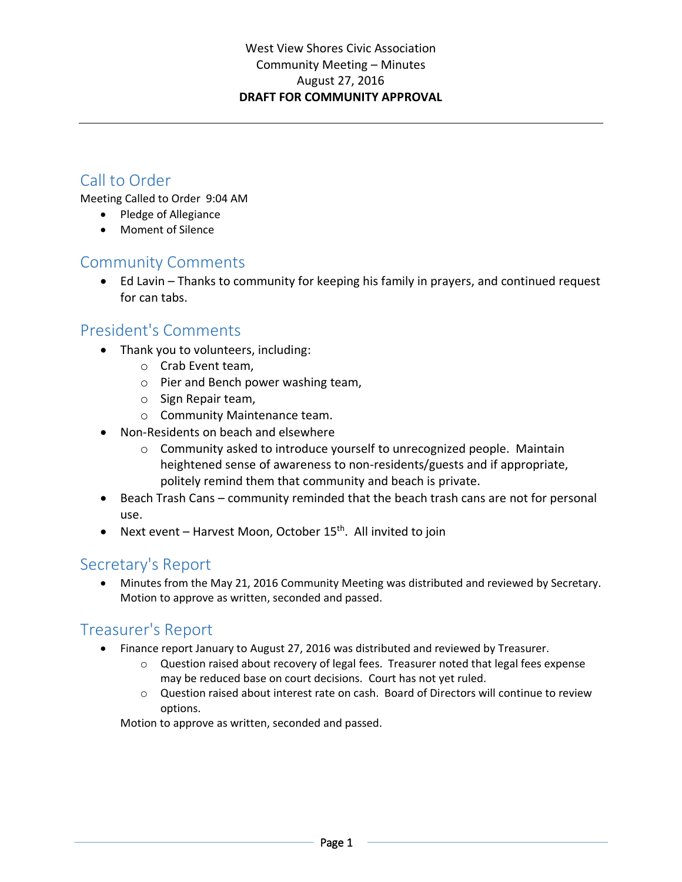# Call to Order

Meeting Called to Order 9:04 AM

- Pledge of Allegiance
- Moment of Silence

### Community Comments

 Ed Lavin – Thanks to community for keeping his family in prayers, and continued request for can tabs.

### President's Comments

- Thank you to volunteers, including:
	- o Crab Event team,
	- o Pier and Bench power washing team,
	- o Sign Repair team,
	- o Community Maintenance team.
- Non-Residents on beach and elsewhere
	- $\circ$  Community asked to introduce yourself to unrecognized people. Maintain heightened sense of awareness to non-residents/guests and if appropriate, politely remind them that community and beach is private.
- Beach Trash Cans community reminded that the beach trash cans are not for personal use.
- Next event Harvest Moon, October  $15<sup>th</sup>$ . All invited to join

### Secretary's Report

 Minutes from the May 21, 2016 Community Meeting was distributed and reviewed by Secretary. Motion to approve as written, seconded and passed.

# Treasurer's Report

- Finance report January to August 27, 2016 was distributed and reviewed by Treasurer.
	- $\circ$  Question raised about recovery of legal fees. Treasurer noted that legal fees expense may be reduced base on court decisions. Court has not yet ruled.
	- $\circ$  Question raised about interest rate on cash. Board of Directors will continue to review options.

Motion to approve as written, seconded and passed.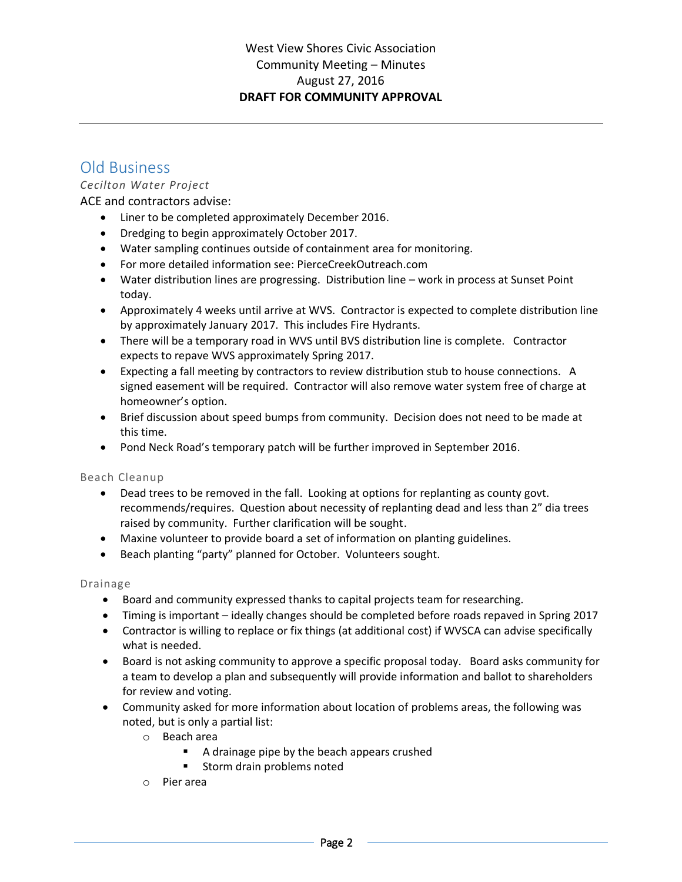### Old Business

### *Cecilton Water Project*

### ACE and contractors advise:

- Liner to be completed approximately December 2016.
- Dredging to begin approximately October 2017.
- Water sampling continues outside of containment area for monitoring.
- For more detailed information see: PierceCreekOutreach.com
- Water distribution lines are progressing. Distribution line work in process at Sunset Point today.
- Approximately 4 weeks until arrive at WVS. Contractor is expected to complete distribution line by approximately January 2017. This includes Fire Hydrants.
- There will be a temporary road in WVS until BVS distribution line is complete. Contractor expects to repave WVS approximately Spring 2017.
- Expecting a fall meeting by contractors to review distribution stub to house connections. A signed easement will be required. Contractor will also remove water system free of charge at homeowner's option.
- Brief discussion about speed bumps from community. Decision does not need to be made at this time.
- Pond Neck Road's temporary patch will be further improved in September 2016.

#### Beach Cleanup

- Dead trees to be removed in the fall. Looking at options for replanting as county govt. recommends/requires. Question about necessity of replanting dead and less than 2" dia trees raised by community. Further clarification will be sought.
- Maxine volunteer to provide board a set of information on planting guidelines.
- Beach planting "party" planned for October. Volunteers sought.

#### Drainage

- Board and community expressed thanks to capital projects team for researching.
- Timing is important ideally changes should be completed before roads repaved in Spring 2017
- Contractor is willing to replace or fix things (at additional cost) if WVSCA can advise specifically what is needed.
- Board is not asking community to approve a specific proposal today. Board asks community for a team to develop a plan and subsequently will provide information and ballot to shareholders for review and voting.
- Community asked for more information about location of problems areas, the following was noted, but is only a partial list:
	- o Beach area
		- A drainage pipe by the beach appears crushed
		- **Storm drain problems noted**
	- o Pier area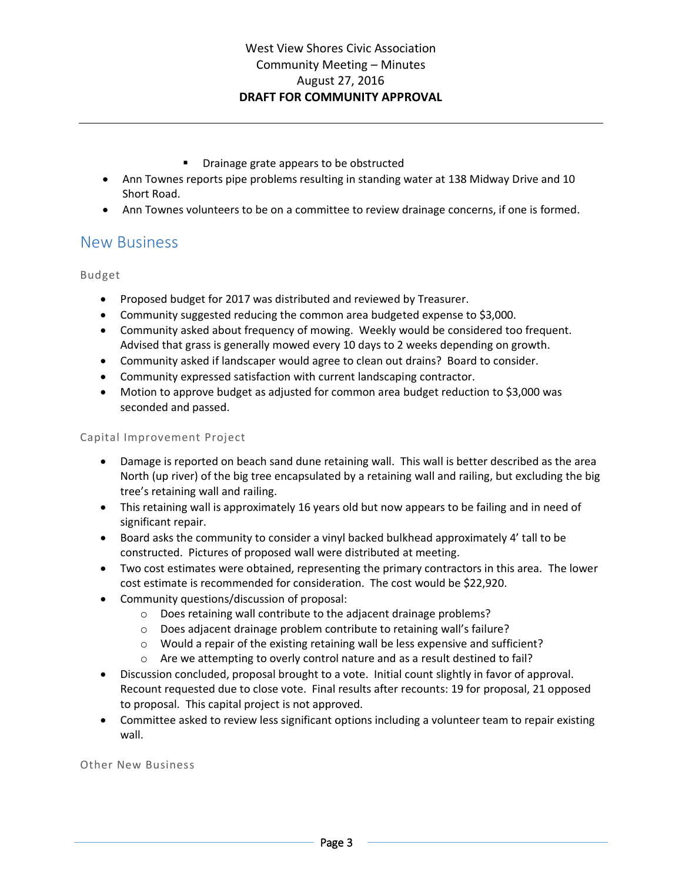- **P** Drainage grate appears to be obstructed
- Ann Townes reports pipe problems resulting in standing water at 138 Midway Drive and 10 Short Road.
- Ann Townes volunteers to be on a committee to review drainage concerns, if one is formed.

### New Business

#### Budget

- Proposed budget for 2017 was distributed and reviewed by Treasurer.
- Community suggested reducing the common area budgeted expense to \$3,000.
- Community asked about frequency of mowing. Weekly would be considered too frequent. Advised that grass is generally mowed every 10 days to 2 weeks depending on growth.
- Community asked if landscaper would agree to clean out drains? Board to consider.
- Community expressed satisfaction with current landscaping contractor.
- Motion to approve budget as adjusted for common area budget reduction to \$3,000 was seconded and passed.

#### Capital Improvement Project

- Damage is reported on beach sand dune retaining wall. This wall is better described as the area North (up river) of the big tree encapsulated by a retaining wall and railing, but excluding the big tree's retaining wall and railing.
- This retaining wall is approximately 16 years old but now appears to be failing and in need of significant repair.
- Board asks the community to consider a vinyl backed bulkhead approximately 4' tall to be constructed. Pictures of proposed wall were distributed at meeting.
- Two cost estimates were obtained, representing the primary contractors in this area. The lower cost estimate is recommended for consideration. The cost would be \$22,920.
- Community questions/discussion of proposal:
	- o Does retaining wall contribute to the adjacent drainage problems?
	- $\circ$  Does adjacent drainage problem contribute to retaining wall's failure?
	- $\circ$  Would a repair of the existing retaining wall be less expensive and sufficient?
	- o Are we attempting to overly control nature and as a result destined to fail?
- Discussion concluded, proposal brought to a vote. Initial count slightly in favor of approval. Recount requested due to close vote. Final results after recounts: 19 for proposal, 21 opposed to proposal. This capital project is not approved.
- Committee asked to review less significant options including a volunteer team to repair existing wall.

Other New Business